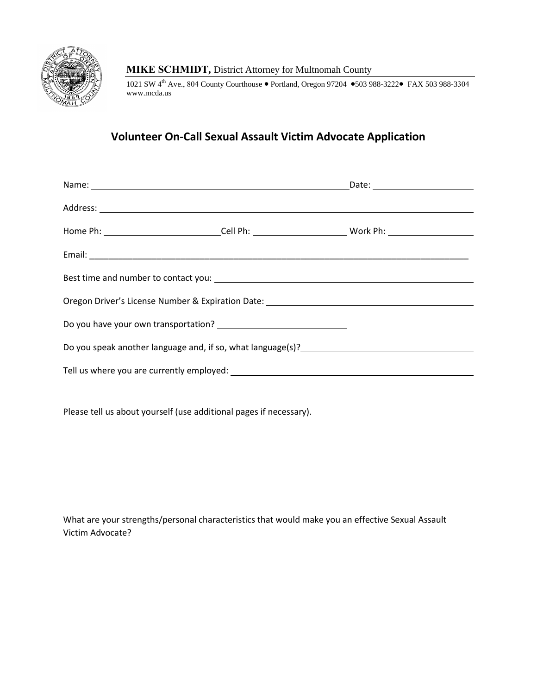

## **MIKE SCHMIDT,** District Attorney for Multnomah County

1021 SW 4<sup>th</sup> Ave., 804 County Courthouse • Portland, Oregon 97204 • 503 988-3222 FAX 503 988-3304 www.mcda.us

## **Volunteer On-Call Sexual Assault Victim Advocate Application**

| Name: Name: Name: Name: Name: Name: Name: Name: Name: Name: Name: Name: Name: Name: Name: Name: Name: Name: Name: Name: Name: Name: Name: Name: Name: Name: Name: Name: Name: Name: Name: Name: Name: Name: Name: Name: Name: |  |  |  |  |
|-------------------------------------------------------------------------------------------------------------------------------------------------------------------------------------------------------------------------------|--|--|--|--|
|                                                                                                                                                                                                                               |  |  |  |  |
| Home Ph: ____________________________Cell Ph: ____________________________Work Ph: __________________________                                                                                                                 |  |  |  |  |
|                                                                                                                                                                                                                               |  |  |  |  |
|                                                                                                                                                                                                                               |  |  |  |  |
| Oregon Driver's License Number & Expiration Date: _______________________________                                                                                                                                             |  |  |  |  |
|                                                                                                                                                                                                                               |  |  |  |  |
|                                                                                                                                                                                                                               |  |  |  |  |
|                                                                                                                                                                                                                               |  |  |  |  |

Please tell us about yourself (use additional pages if necessary).

What are your strengths/personal characteristics that would make you an effective Sexual Assault Victim Advocate?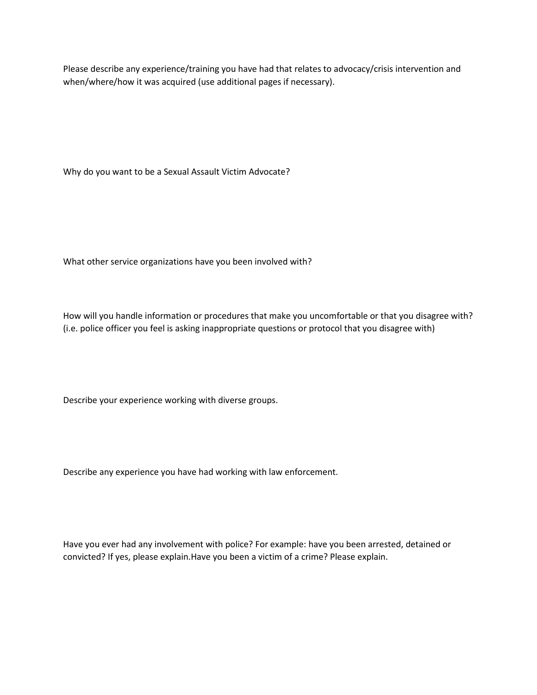Please describe any experience/training you have had that relates to advocacy/crisis intervention and when/where/how it was acquired (use additional pages if necessary).

Why do you want to be a Sexual Assault Victim Advocate?

What other service organizations have you been involved with?

How will you handle information or procedures that make you uncomfortable or that you disagree with? (i.e. police officer you feel is asking inappropriate questions or protocol that you disagree with)

Describe your experience working with diverse groups.

Describe any experience you have had working with law enforcement.

Have you ever had any involvement with police? For example: have you been arrested, detained or convicted? If yes, please explain.Have you been a victim of a crime? Please explain.